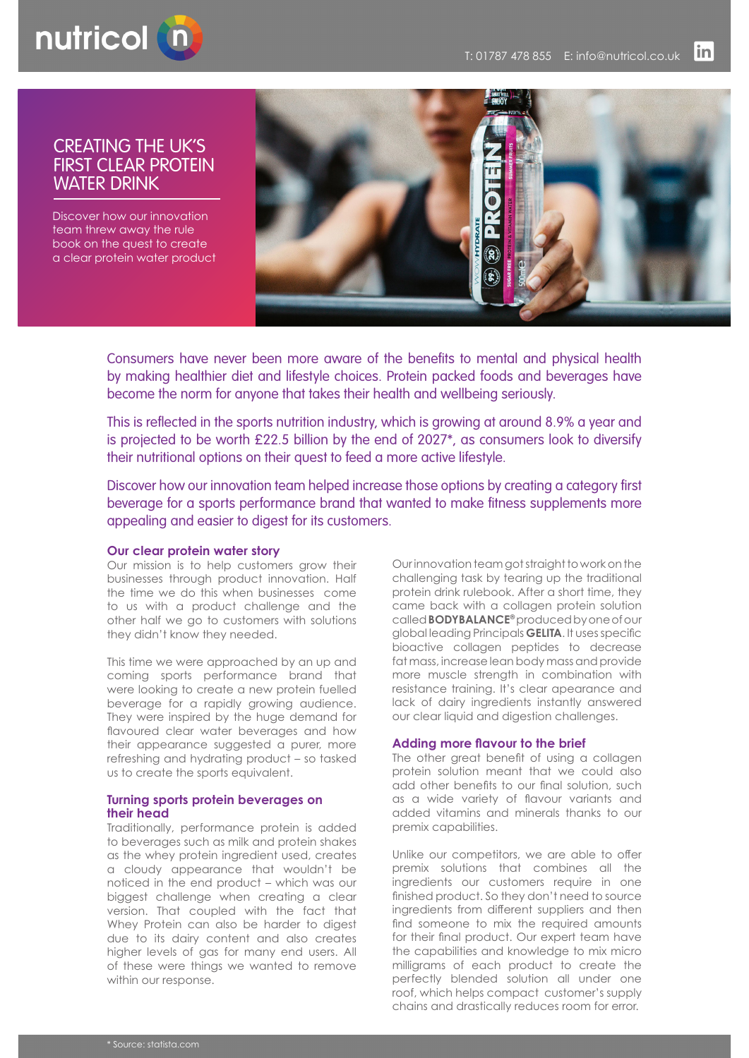

# CREATING THE UK'S FIRST CLEAR PROTEIN WATER DRINK

Discover how our innovation team threw away the rule book on the quest to create a clear protein water product



Consumers have never been more aware of the benefits to mental and physical health by making healthier diet and lifestyle choices. Protein packed foods and beverages have become the norm for anyone that takes their health and wellbeing seriously.

This is reflected in the sports nutrition industry, which is growing at around 8.9% a year and is projected to be worth  $£22.5$  billion by the end of  $2027^*$ , as consumers look to diversify their nutritional options on their quest to feed a more active lifestyle.

Discover how our innovation team helped increase those options by creating a category first beverage for a sports performance brand that wanted to make fitness supplements more appealing and easier to digest for its customers.

#### **Our clear protein water story**

Our mission is to help customers grow their businesses through product innovation. Half the time we do this when businesses come to us with a product challenge and the other half we go to customers with solutions they didn't know they needed.

This time we were approached by an up and coming sports performance brand that were looking to create a new protein fuelled beverage for a rapidly growing audience. They were inspired by the huge demand for flavoured clear water beverages and how their appearance suggested a purer, more refreshing and hydrating product – so tasked us to create the sports equivalent.

### **Turning sports protein beverages on their head**

Traditionally, performance protein is added to beverages such as milk and protein shakes as the whey protein ingredient used, creates a cloudy appearance that wouldn't be noticed in the end product – which was our biggest challenge when creating a clear version. That coupled with the fact that Whey Protein can also be harder to digest due to its dairy content and also creates higher levels of gas for many end users. All of these were things we wanted to remove within our response.

Our innovation team got straight to work on the challenging task by tearing up the traditional protein drink rulebook. After a short time, they came back with a collagen protein solution called **BODYBALANCE®** produced by one of our global leading Principals **GELITA**. It uses specific bioactive collagen peptides to decrease fat mass, increase lean body mass and provide more muscle strength in combination with resistance training. It's clear apearance and lack of dairy ingredients instantly answered our clear liquid and digestion challenges.

# **Adding more flavour to the brief**

The other great benefit of using a collagen protein solution meant that we could also add other benefits to our final solution, such as a wide variety of flavour variants and added vitamins and minerals thanks to our premix capabilities.

Unlike our competitors, we are able to offer premix solutions that combines all the ingredients our customers require in one finished product. So they don't need to source ingredients from different suppliers and then find someone to mix the required amounts for their final product. Our expert team have the capabilities and knowledge to mix micro milligrams of each product to create the perfectly blended solution all under one roof, which helps compact customer's supply chains and drastically reduces room for error.